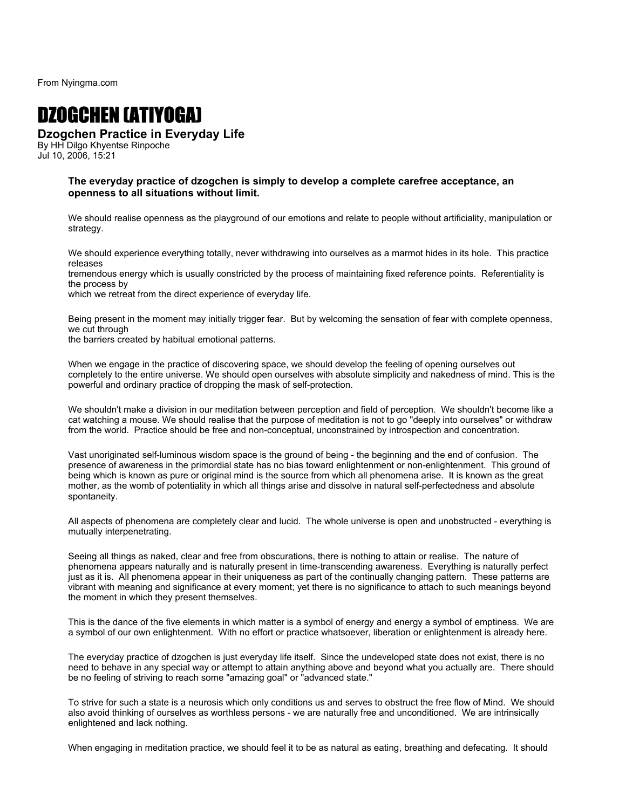From Nyingma.com

## DZOGCHEN (ATIYOGA)

## **Dzogchen Practice in Everyday Life**

By HH Dilgo Khyentse Rinpoche Jul 10, 2006, 15:21

## **The everyday practice of dzogchen is simply to develop a complete carefree acceptance, an openness to all situations without limit.**

We should realise openness as the playground of our emotions and relate to people without artificiality, manipulation or strategy.

We should experience everything totally, never withdrawing into ourselves as a marmot hides in its hole. This practice releases

tremendous energy which is usually constricted by the process of maintaining fixed reference points. Referentiality is the process by

which we retreat from the direct experience of everyday life.

Being present in the moment may initially trigger fear. But by welcoming the sensation of fear with complete openness, we cut through

the barriers created by habitual emotional patterns.

When we engage in the practice of discovering space, we should develop the feeling of opening ourselves out completely to the entire universe. We should open ourselves with absolute simplicity and nakedness of mind. This is the powerful and ordinary practice of dropping the mask of self-protection.

We shouldn't make a division in our meditation between perception and field of perception. We shouldn't become like a cat watching a mouse. We should realise that the purpose of meditation is not to go "deeply into ourselves" or withdraw from the world. Practice should be free and non-conceptual, unconstrained by introspection and concentration.

Vast unoriginated self-luminous wisdom space is the ground of being - the beginning and the end of confusion. The presence of awareness in the primordial state has no bias toward enlightenment or non-enlightenment. This ground of being which is known as pure or original mind is the source from which all phenomena arise. It is known as the great mother, as the womb of potentiality in which all things arise and dissolve in natural self-perfectedness and absolute spontaneity.

All aspects of phenomena are completely clear and lucid. The whole universe is open and unobstructed - everything is mutually interpenetrating.

Seeing all things as naked, clear and free from obscurations, there is nothing to attain or realise. The nature of phenomena appears naturally and is naturally present in time-transcending awareness. Everything is naturally perfect just as it is. All phenomena appear in their uniqueness as part of the continually changing pattern. These patterns are vibrant with meaning and significance at every moment; yet there is no significance to attach to such meanings beyond the moment in which they present themselves.

This is the dance of the five elements in which matter is a symbol of energy and energy a symbol of emptiness. We are a symbol of our own enlightenment. With no effort or practice whatsoever, liberation or enlightenment is already here.

The everyday practice of dzogchen is just everyday life itself. Since the undeveloped state does not exist, there is no need to behave in any special way or attempt to attain anything above and beyond what you actually are. There should be no feeling of striving to reach some "amazing goal" or "advanced state."

To strive for such a state is a neurosis which only conditions us and serves to obstruct the free flow of Mind. We should also avoid thinking of ourselves as worthless persons - we are naturally free and unconditioned. We are intrinsically enlightened and lack nothing.

When engaging in meditation practice, we should feel it to be as natural as eating, breathing and defecating. It should